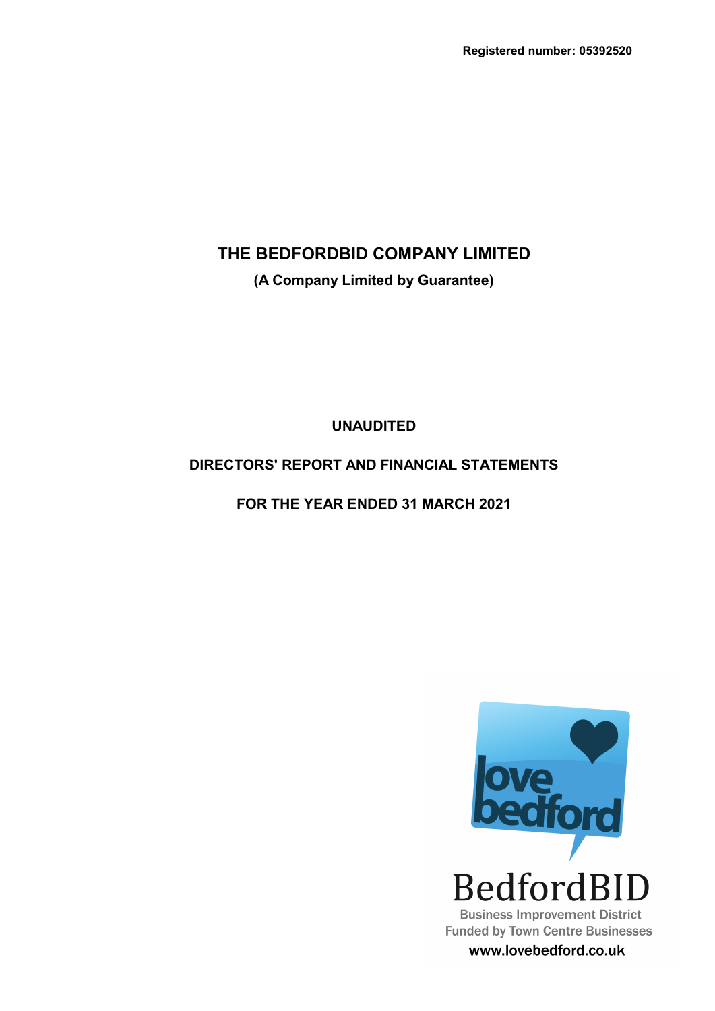**(A Company Limited by Guarantee)**

**UNAUDITED**

# **DIRECTORS' REPORT AND FINANCIAL STATEMENTS**

**FOR THE YEAR ENDED 31 MARCH 2021**



www.lovebedford.co.uk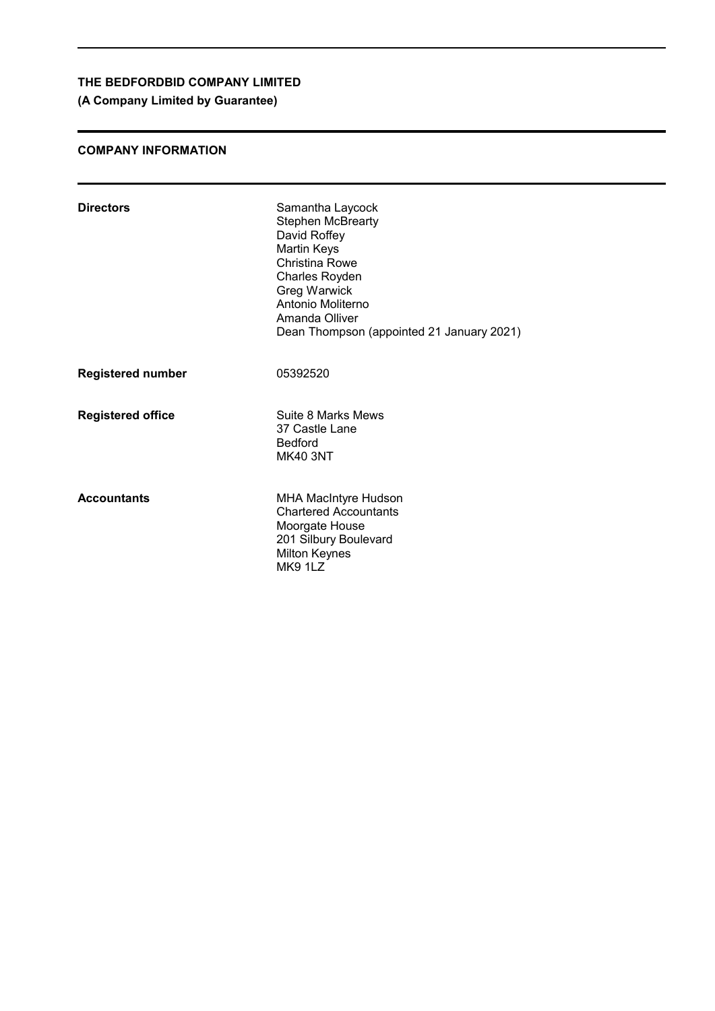# **(A Company Limited by Guarantee)**

### **COMPANY INFORMATION**

| <b>Directors</b>         | Samantha Laycock<br><b>Stephen McBrearty</b><br>David Roffey<br>Martin Keys<br>Christina Rowe<br>Charles Royden<br><b>Greg Warwick</b><br>Antonio Moliterno<br>Amanda Olliver<br>Dean Thompson (appointed 21 January 2021) |
|--------------------------|----------------------------------------------------------------------------------------------------------------------------------------------------------------------------------------------------------------------------|
| <b>Registered number</b> | 05392520                                                                                                                                                                                                                   |
| <b>Registered office</b> | Suite 8 Marks Mews<br>37 Castle Lane<br><b>Bedford</b><br><b>MK40 3NT</b>                                                                                                                                                  |
| <b>Accountants</b>       | <b>MHA MacIntyre Hudson</b><br><b>Chartered Accountants</b><br>Moorgate House<br>201 Silbury Boulevard<br><b>Milton Keynes</b><br>MK9 1LZ                                                                                  |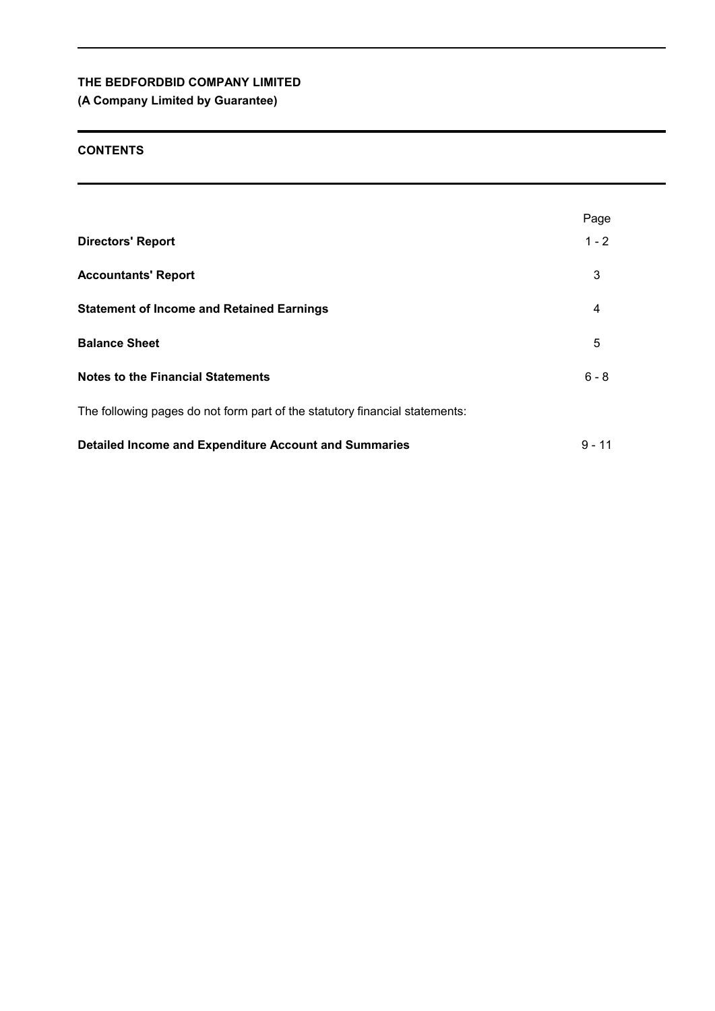# **(A Company Limited by Guarantee)**

## **CONTENTS**

|                                                                             | Page     |
|-----------------------------------------------------------------------------|----------|
| <b>Directors' Report</b>                                                    | $1 - 2$  |
| <b>Accountants' Report</b>                                                  | 3        |
| <b>Statement of Income and Retained Earnings</b>                            | 4        |
| <b>Balance Sheet</b>                                                        | 5        |
| <b>Notes to the Financial Statements</b>                                    | $6 - 8$  |
| The following pages do not form part of the statutory financial statements: |          |
| <b>Detailed Income and Expenditure Account and Summaries</b>                | $9 - 11$ |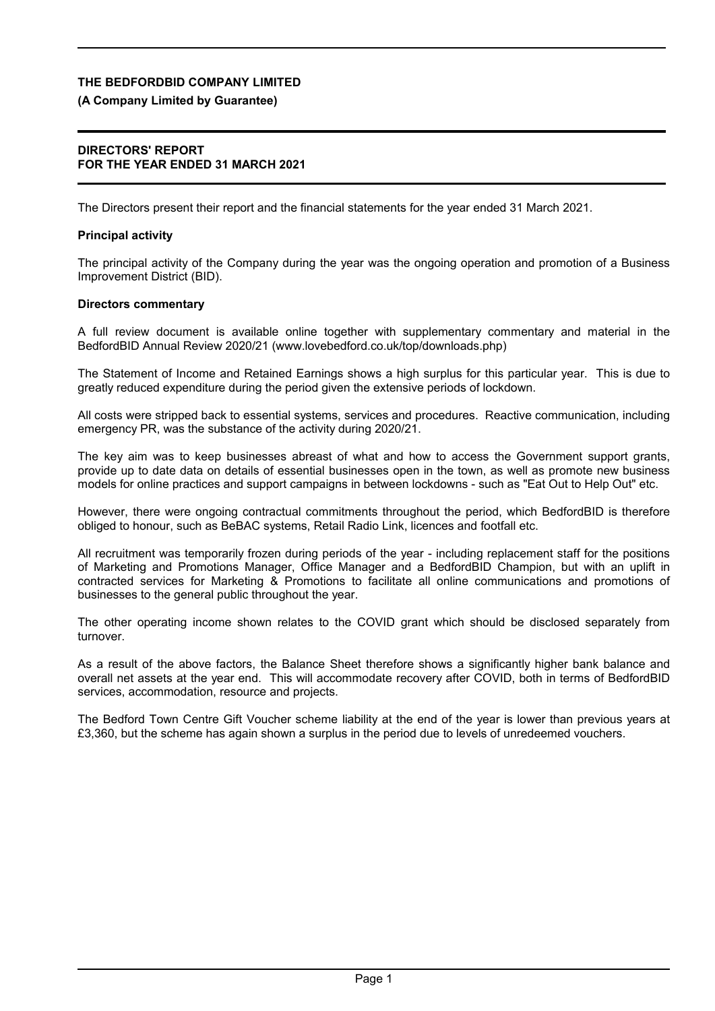### **(A Company Limited by Guarantee)**

### **DIRECTORS' REPORT FOR THE YEAR ENDED 31 MARCH 2021**

The Directors present their report and the financial statements for the year ended 31 March 2021.

### **Principal activity**

The principal activity of the Company during the year was the ongoing operation and promotion of a Business Improvement District (BID).

### **Directors commentary**

A full review document is available online together with supplementary commentary and material in the BedfordBID Annual Review 2020/21 (www.lovebedford.co.uk/top/downloads.php)

The Statement of Income and Retained Earnings shows a high surplus for this particular year. This is due to greatly reduced expenditure during the period given the extensive periods of lockdown.

All costs were stripped back to essential systems, services and procedures. Reactive communication, including emergency PR, was the substance of the activity during 2020/21.

The key aim was to keep businesses abreast of what and how to access the Government support grants, provide up to date data on details of essential businesses open in the town, as well as promote new business models for online practices and support campaigns in between lockdowns - such as "Eat Out to Help Out" etc.

However, there were ongoing contractual commitments throughout the period, which BedfordBID is therefore obliged to honour, such as BeBAC systems, Retail Radio Link, licences and footfall etc.

All recruitment was temporarily frozen during periods of the year - including replacement staff for the positions of Marketing and Promotions Manager, Office Manager and a BedfordBID Champion, but with an uplift in contracted services for Marketing & Promotions to facilitate all online communications and promotions of businesses to the general public throughout the year.

The other operating income shown relates to the COVID grant which should be disclosed separately from turnover.

As a result of the above factors, the Balance Sheet therefore shows a significantly higher bank balance and overall net assets at the year end. This will accommodate recovery after COVID, both in terms of BedfordBID services, accommodation, resource and projects.

The Bedford Town Centre Gift Voucher scheme liability at the end of the year is lower than previous years at £3,360, but the scheme has again shown a surplus in the period due to levels of unredeemed vouchers.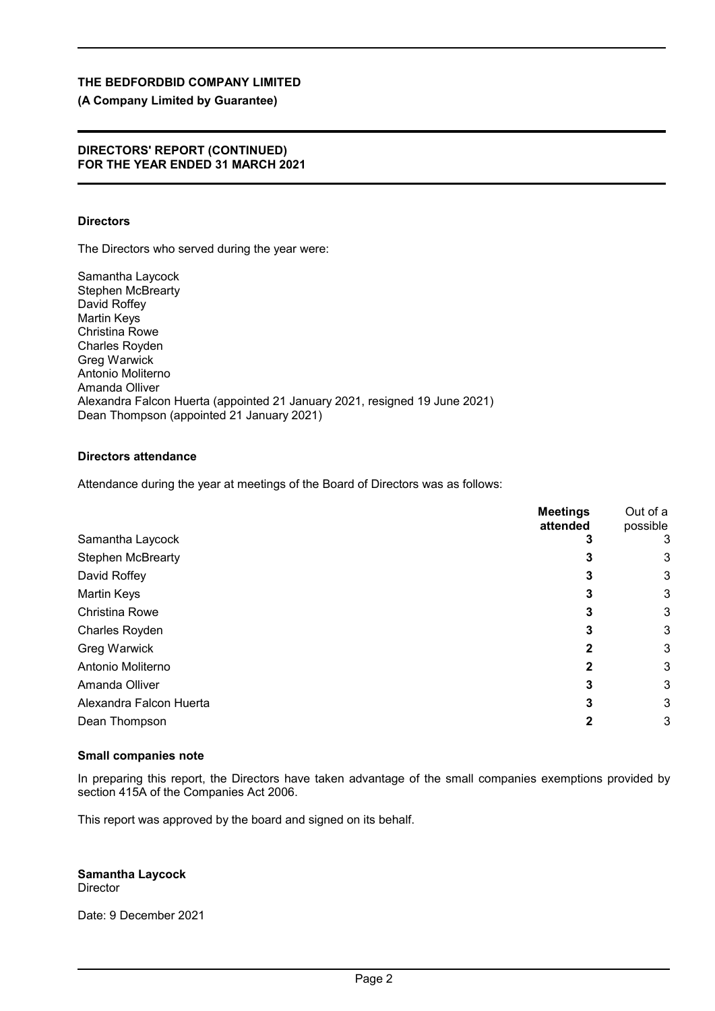# **(A Company Limited by Guarantee)**

### **DIRECTORS' REPORT (CONTINUED) FOR THE YEAR ENDED 31 MARCH 2021**

# **Directors**

The Directors who served during the year were:

Samantha Laycock Stephen McBrearty David Roffey Martin Keys Christina Rowe Charles Royden Greg Warwick Antonio Moliterno Amanda Olliver Alexandra Falcon Huerta (appointed 21 January 2021, resigned 19 June 2021) Dean Thompson (appointed 21 January 2021)

# **Directors attendance**

Attendance during the year at meetings of the Board of Directors was as follows:

|                          | <b>Meetings</b><br>attended | Out of a<br>possible |
|--------------------------|-----------------------------|----------------------|
| Samantha Laycock         |                             | 3                    |
| <b>Stephen McBrearty</b> | Ĵ                           | 3                    |
| David Roffey             |                             | 3                    |
| <b>Martin Keys</b>       |                             | 3                    |
| <b>Christina Rowe</b>    | 3                           | 3                    |
| <b>Charles Royden</b>    | 3                           | 3                    |
| Greg Warwick             |                             | 3                    |
| Antonio Moliterno        |                             | 3                    |
| Amanda Olliver           | 3                           | 3                    |
| Alexandra Falcon Huerta  | 3                           | 3                    |
| Dean Thompson            |                             | 3                    |
|                          |                             |                      |

# **Small companies note**

In preparing this report, the Directors have taken advantage of the small companies exemptions provided by section 415A of the Companies Act 2006.

This report was approved by the board and signed on its behalf.

**Samantha Laycock** Director

Date: 9 December 2021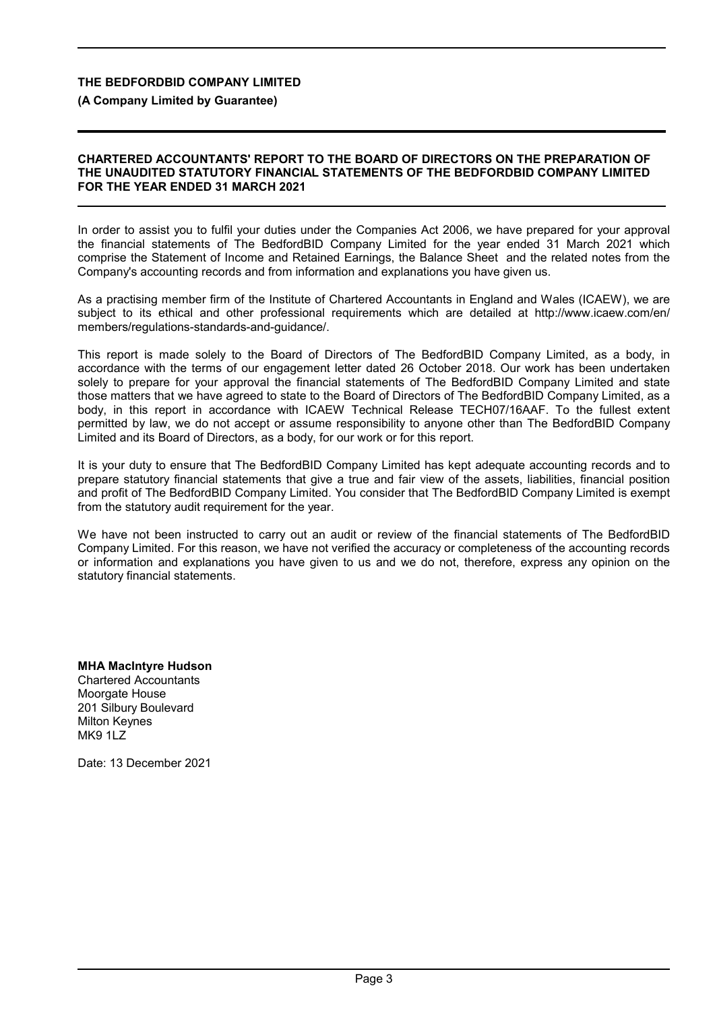### **(A Company Limited by Guarantee)**

#### **CHARTERED ACCOUNTANTS' REPORT TO THE BOARD OF DIRECTORS ON THE PREPARATION OF THE UNAUDITED STATUTORY FINANCIAL STATEMENTS OF THE BEDFORDBID COMPANY LIMITED FOR THE YEAR ENDED 31 MARCH 2021**

In order to assist you to fulfil your duties under the Companies Act 2006, we have prepared for your approval the financial statements of The BedfordBID Company Limited for the year ended 31 March 2021 which comprise the Statement of Income and Retained Earnings, the Balance Sheet and the related notes from the Company's accounting records and from information and explanations you have given us.

As a practising member firm of the Institute of Chartered Accountants in England and Wales (ICAEW), we are subject to its ethical and other professional requirements which are detailed at http://www.icaew.com/en/ members/regulations-standards-and-guidance/.

This report is made solely to the Board of Directors of The BedfordBID Company Limited, as a body, in accordance with the terms of our engagement letter dated 26 October 2018. Our work has been undertaken solely to prepare for your approval the financial statements of The BedfordBID Company Limited and state those matters that we have agreed to state to the Board of Directors of The BedfordBID Company Limited, as a body, in this report in accordance with ICAEW Technical Release TECH07/16AAF. To the fullest extent permitted by law, we do not accept or assume responsibility to anyone other than The BedfordBID Company Limited and its Board of Directors, as a body, for our work or for this report.

It is your duty to ensure that The BedfordBID Company Limited has kept adequate accounting records and to prepare statutory financial statements that give a true and fair view of the assets, liabilities, financial position and profit of The BedfordBID Company Limited. You consider that The BedfordBID Company Limited is exempt from the statutory audit requirement for the year.

We have not been instructed to carry out an audit or review of the financial statements of The BedfordBID Company Limited. For this reason, we have not verified the accuracy or completeness of the accounting records or information and explanations you have given to us and we do not, therefore, express any opinion on the statutory financial statements.

**MHA MacIntyre Hudson** Chartered Accountants Moorgate House 201 Silbury Boulevard Milton Keynes MK9 1LZ

Date: 13 December 2021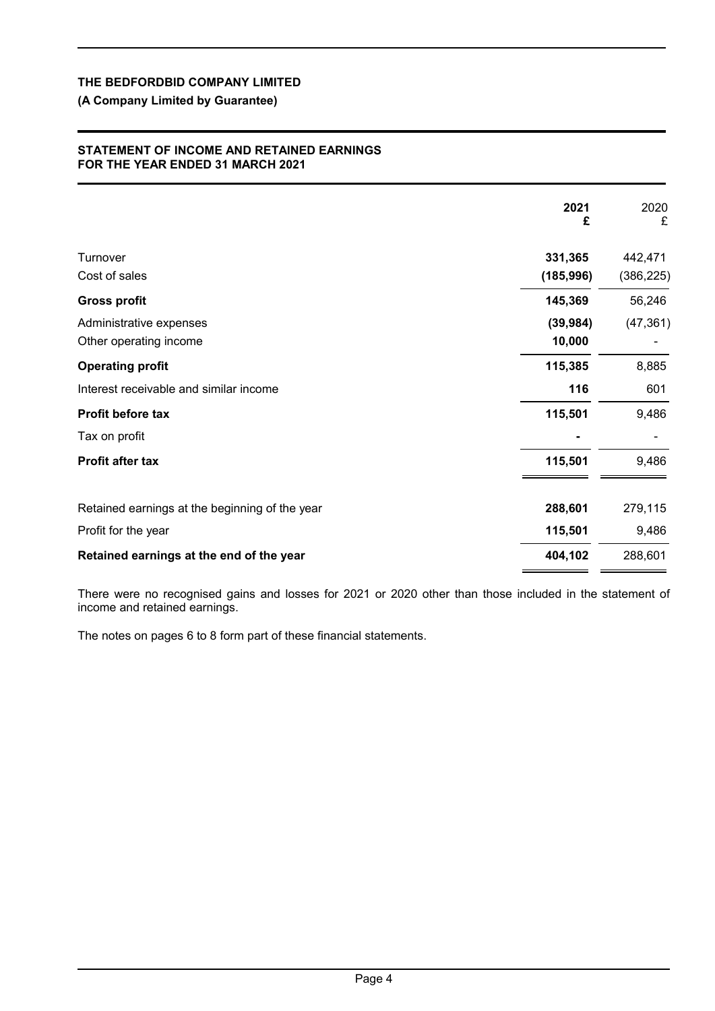# **(A Company Limited by Guarantee)**

### **STATEMENT OF INCOME AND RETAINED EARNINGS FOR THE YEAR ENDED 31 MARCH 2021**

|                                                   | 2021<br>£             | 2020<br>£            |
|---------------------------------------------------|-----------------------|----------------------|
| Turnover<br>Cost of sales                         | 331,365<br>(185, 996) | 442,471<br>(386,225) |
| <b>Gross profit</b>                               | 145,369               | 56,246               |
| Administrative expenses<br>Other operating income | (39, 984)<br>10,000   | (47, 361)            |
| <b>Operating profit</b>                           | 115,385               | 8,885                |
| Interest receivable and similar income            | 116                   | 601                  |
| Profit before tax                                 | 115,501               | 9,486                |
| Tax on profit                                     |                       |                      |
| Profit after tax                                  | 115,501               | 9,486                |
| Retained earnings at the beginning of the year    | 288,601               | 279,115              |
| Profit for the year                               | 115,501               | 9,486                |
| Retained earnings at the end of the year          | 404,102               | 288,601              |

There were no recognised gains and losses for 2021 or 2020 other than those included in the statement of income and retained earnings.

The notes on pages 6 to 8 form part of these financial statements.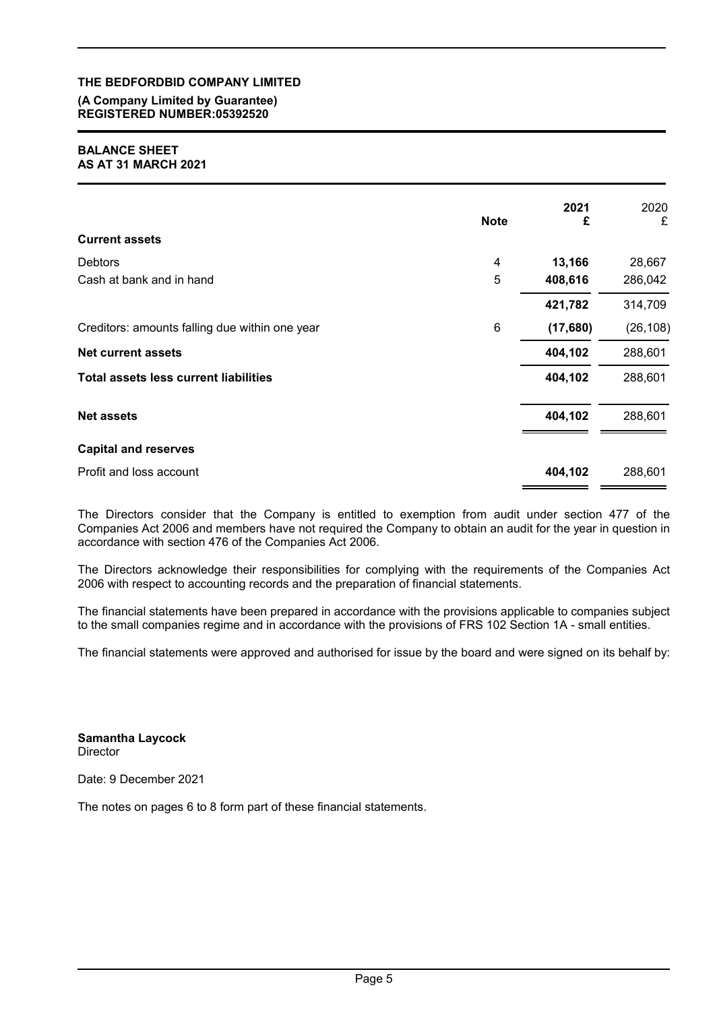### **(A Company Limited by Guarantee) REGISTERED NUMBER:05392520**

#### **BALANCE SHEET AS AT 31 MARCH 2021**

|                                                | <b>Note</b> | 2021<br>£ | 2020<br>£ |
|------------------------------------------------|-------------|-----------|-----------|
| <b>Current assets</b>                          |             |           |           |
| <b>Debtors</b>                                 | 4           | 13,166    | 28,667    |
| Cash at bank and in hand                       | 5           | 408,616   | 286,042   |
|                                                |             | 421,782   | 314,709   |
| Creditors: amounts falling due within one year | 6           | (17,680)  | (26, 108) |
| <b>Net current assets</b>                      |             | 404,102   | 288,601   |
| <b>Total assets less current liabilities</b>   |             | 404,102   | 288,601   |
| <b>Net assets</b>                              |             | 404,102   | 288,601   |
| <b>Capital and reserves</b>                    |             |           |           |
| Profit and loss account                        |             | 404,102   | 288,601   |

The Directors consider that the Company is entitled to exemption from audit under section 477 of the Companies Act 2006 and members have not required the Company to obtain an audit for the year in question in accordance with section 476 of the Companies Act 2006.

The Directors acknowledge their responsibilities for complying with the requirements of the Companies Act 2006 with respect to accounting records and the preparation of financial statements.

The financial statements have been prepared in accordance with the provisions applicable to companies subject to the small companies regime and in accordance with the provisions of FRS 102 Section 1A - small entities.

The financial statements were approved and authorised for issue by the board and were signed on its behalf by:

**Samantha Laycock Director** 

Date: 9 December 2021

The notes on pages 6 to 8 form part of these financial statements.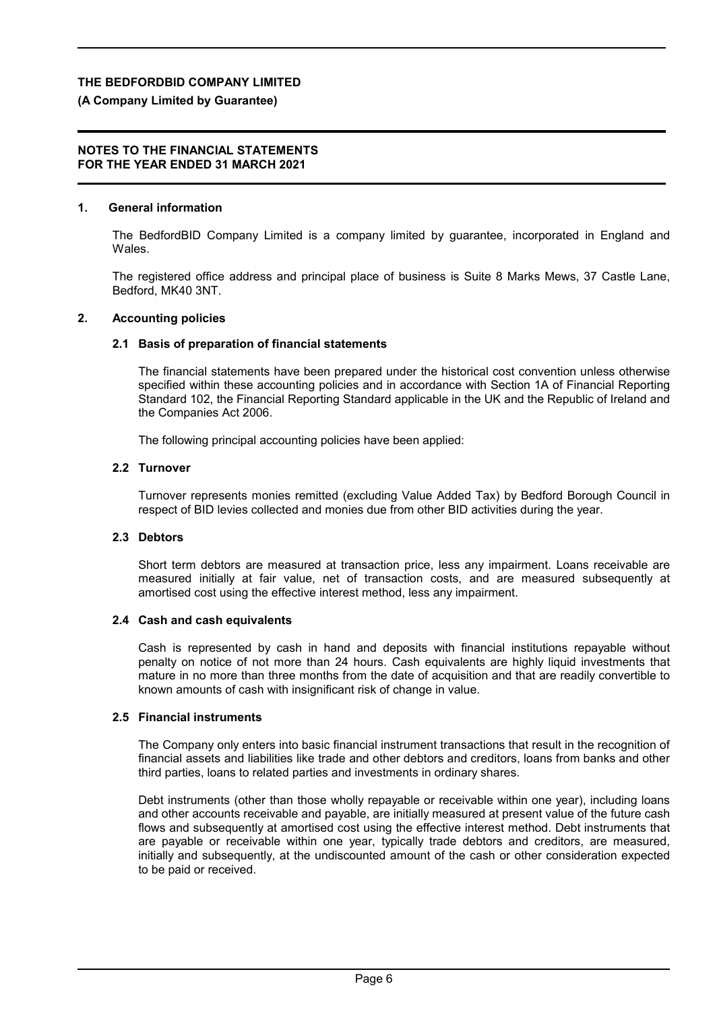# **(A Company Limited by Guarantee)**

### **NOTES TO THE FINANCIAL STATEMENTS FOR THE YEAR ENDED 31 MARCH 2021**

## **1. General information**

The BedfordBID Company Limited is a company limited by guarantee, incorporated in England and Wales.

The registered office address and principal place of business is Suite 8 Marks Mews, 37 Castle Lane, Bedford, MK40 3NT.

# **2. Accounting policies**

# **2.1 Basis of preparation of financial statements**

The financial statements have been prepared under the historical cost convention unless otherwise specified within these accounting policies and in accordance with Section 1A of Financial Reporting Standard 102, the Financial Reporting Standard applicable in the UK and the Republic of Ireland and the Companies Act 2006.

The following principal accounting policies have been applied:

# **2.2 Turnover**

Turnover represents monies remitted (excluding Value Added Tax) by Bedford Borough Council in respect of BID levies collected and monies due from other BID activities during the year.

# **2.3 Debtors**

Short term debtors are measured at transaction price, less any impairment. Loans receivable are measured initially at fair value, net of transaction costs, and are measured subsequently at amortised cost using the effective interest method, less any impairment.

# **2.4 Cash and cash equivalents**

Cash is represented by cash in hand and deposits with financial institutions repayable without penalty on notice of not more than 24 hours. Cash equivalents are highly liquid investments that mature in no more than three months from the date of acquisition and that are readily convertible to known amounts of cash with insignificant risk of change in value.

# **2.5 Financial instruments**

The Company only enters into basic financial instrument transactions that result in the recognition of financial assets and liabilities like trade and other debtors and creditors, loans from banks and other third parties, loans to related parties and investments in ordinary shares.

Debt instruments (other than those wholly repayable or receivable within one year), including loans and other accounts receivable and payable, are initially measured at present value of the future cash flows and subsequently at amortised cost using the effective interest method. Debt instruments that are payable or receivable within one year, typically trade debtors and creditors, are measured, initially and subsequently, at the undiscounted amount of the cash or other consideration expected to be paid or received.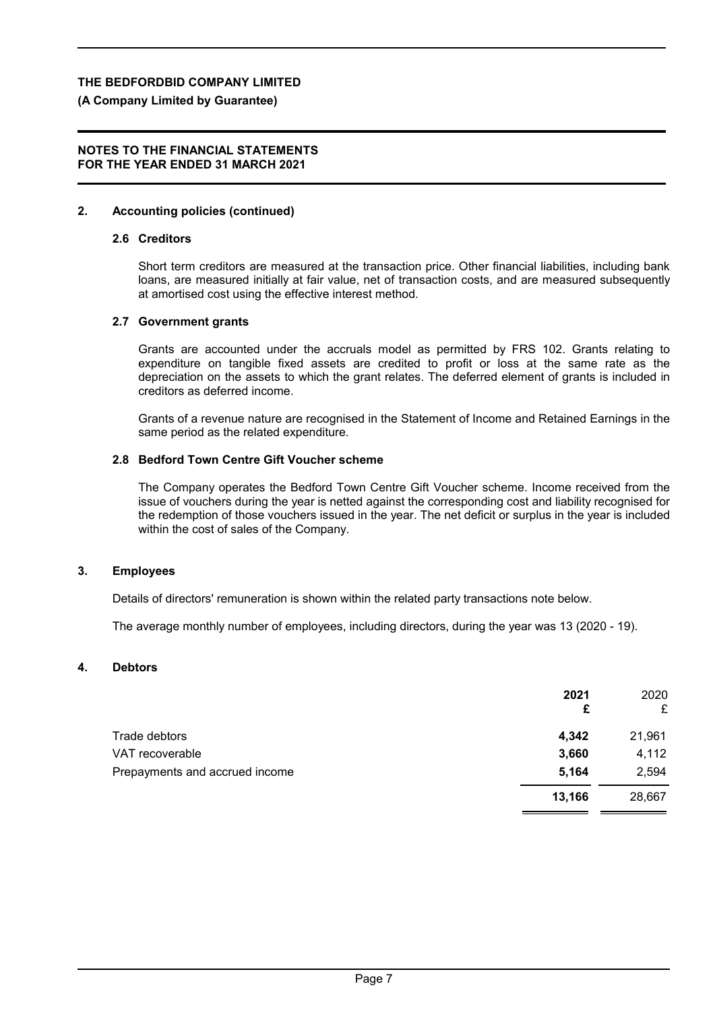#### **(A Company Limited by Guarantee)**

#### **NOTES TO THE FINANCIAL STATEMENTS FOR THE YEAR ENDED 31 MARCH 2021**

#### **2. Accounting policies (continued)**

#### **2.6 Creditors**

Short term creditors are measured at the transaction price. Other financial liabilities, including bank loans, are measured initially at fair value, net of transaction costs, and are measured subsequently at amortised cost using the effective interest method.

#### **2.7 Government grants**

Grants are accounted under the accruals model as permitted by FRS 102. Grants relating to expenditure on tangible fixed assets are credited to profit or loss at the same rate as the depreciation on the assets to which the grant relates. The deferred element of grants is included in creditors as deferred income.

Grants of a revenue nature are recognised in the Statement of Income and Retained Earnings in the same period as the related expenditure.

#### **2.8 Bedford Town Centre Gift Voucher scheme**

The Company operates the Bedford Town Centre Gift Voucher scheme. Income received from the issue of vouchers during the year is netted against the corresponding cost and liability recognised for the redemption of those vouchers issued in the year. The net deficit or surplus in the year is included within the cost of sales of the Company.

#### **3. Employees**

Details of directors' remuneration is shown within the related party transactions note below.

The average monthly number of employees, including directors, during the year was 13 (2020 - 19).

#### **4. Debtors**

|                                | 2021<br>£ | 2020<br>£ |
|--------------------------------|-----------|-----------|
| Trade debtors                  | 4,342     | 21,961    |
| VAT recoverable                | 3,660     | 4,112     |
| Prepayments and accrued income | 5,164     | 2,594     |
|                                | 13,166    | 28,667    |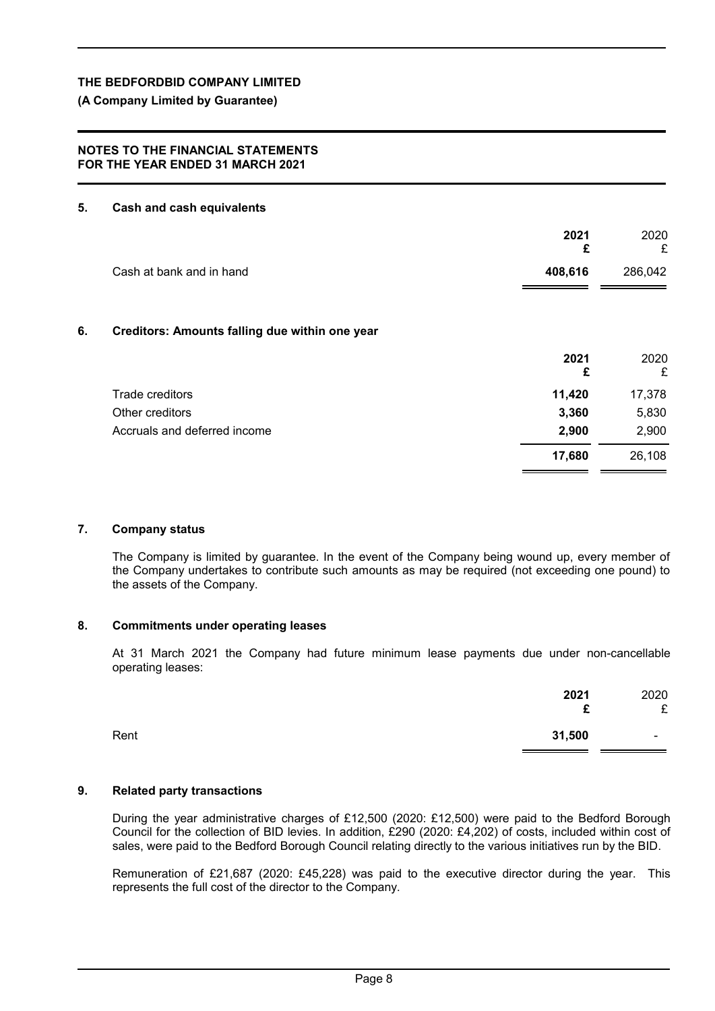**(A Company Limited by Guarantee)**

### **NOTES TO THE FINANCIAL STATEMENTS FOR THE YEAR ENDED 31 MARCH 2021**

#### **5. Cash and cash equivalents**

|                                                      | 2021<br>£ | 2020<br>£ |
|------------------------------------------------------|-----------|-----------|
| Cash at bank and in hand                             | 408,616   | 286,042   |
|                                                      |           |           |
| 6.<br>Creditors: Amounts falling due within one year |           |           |
|                                                      | 2021<br>£ | 2020<br>£ |
| Trade creditors                                      | 11,420    | 17,378    |
| Other creditors                                      | 3,360     | 5,830     |
| Accruals and deferred income                         | 2,900     | 2,900     |
|                                                      | 17,680    | 26,108    |

#### **7. Company status**

The Company is limited by guarantee. In the event of the Company being wound up, every member of the Company undertakes to contribute such amounts as may be required (not exceeding one pound) to the assets of the Company.

### **8. Commitments under operating leases**

At 31 March 2021 the Company had future minimum lease payments due under non-cancellable operating leases:

|      | 2021<br>£ | 2020<br>£                |
|------|-----------|--------------------------|
| Rent | 31,500    | $\overline{\phantom{0}}$ |

#### **9. Related party transactions**

During the year administrative charges of £12,500 (2020: £12,500) were paid to the Bedford Borough Council for the collection of BID levies. In addition, £290 (2020: £4,202) of costs, included within cost of sales, were paid to the Bedford Borough Council relating directly to the various initiatives run by the BID.

Remuneration of £21,687 (2020: £45,228) was paid to the executive director during the year. This represents the full cost of the director to the Company.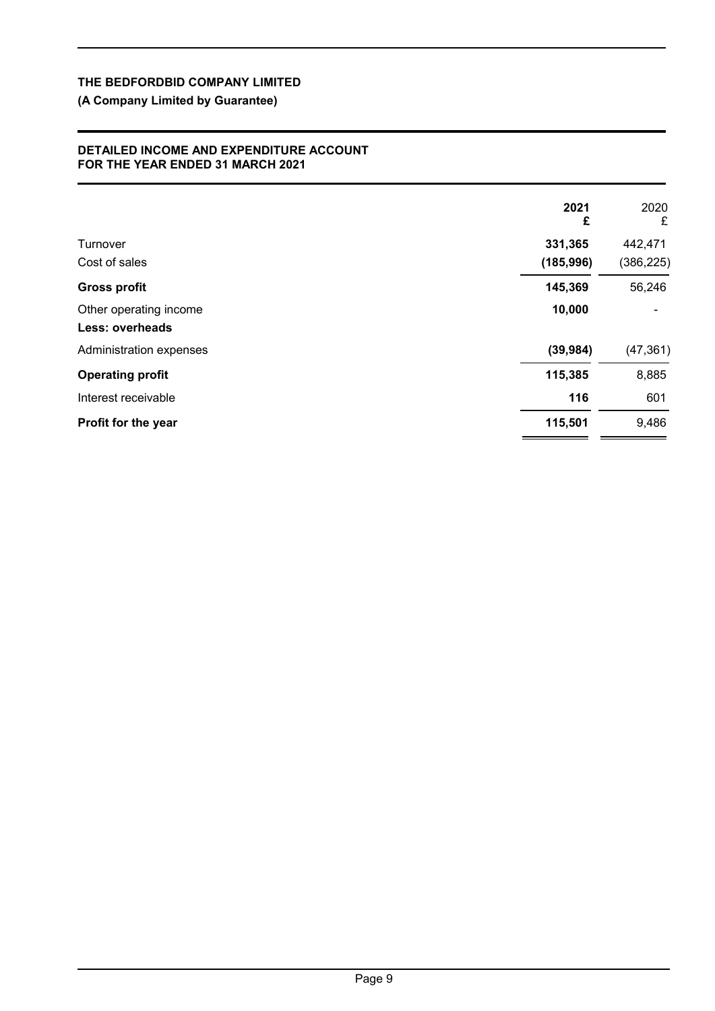# **(A Company Limited by Guarantee)**

#### **DETAILED INCOME AND EXPENDITURE ACCOUNT FOR THE YEAR ENDED 31 MARCH 2021**

|                         | 2021<br>£  | 2020<br>£  |
|-------------------------|------------|------------|
| Turnover                | 331,365    | 442,471    |
| Cost of sales           | (185, 996) | (386, 225) |
| <b>Gross profit</b>     | 145,369    | 56,246     |
| Other operating income  | 10,000     |            |
| <b>Less: overheads</b>  |            |            |
| Administration expenses | (39, 984)  | (47, 361)  |
| <b>Operating profit</b> | 115,385    | 8,885      |
| Interest receivable     | 116        | 601        |
| Profit for the year     | 115,501    | 9,486      |
|                         |            |            |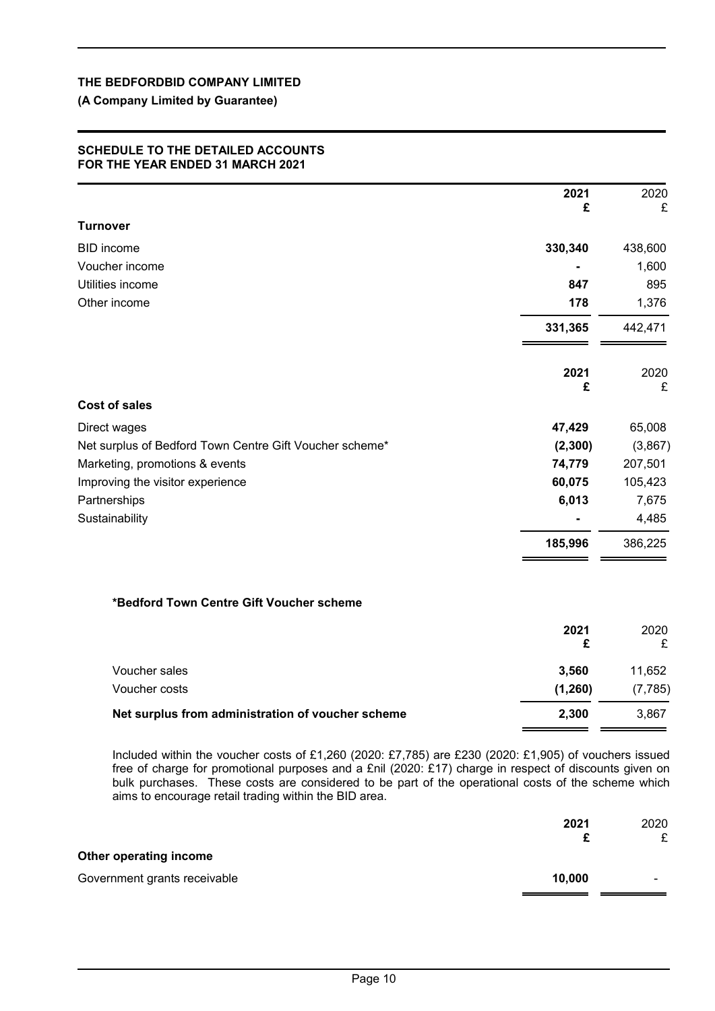### **(A Company Limited by Guarantee)**

#### **SCHEDULE TO THE DETAILED ACCOUNTS FOR THE YEAR ENDED 31 MARCH 2021**

|                                                         | 2021<br>£ | 2020<br>£ |
|---------------------------------------------------------|-----------|-----------|
| <b>Turnover</b>                                         |           |           |
| <b>BID</b> income                                       | 330,340   | 438,600   |
| Voucher income                                          |           | 1,600     |
| Utilities income                                        | 847       | 895       |
| Other income                                            | 178       | 1,376     |
|                                                         | 331,365   | 442,471   |
|                                                         | 2021<br>£ | 2020<br>£ |
| <b>Cost of sales</b>                                    |           |           |
| Direct wages                                            | 47,429    | 65,008    |
| Net surplus of Bedford Town Centre Gift Voucher scheme* | (2, 300)  | (3,867)   |
| Marketing, promotions & events                          | 74,779    | 207,501   |
| Improving the visitor experience                        | 60,075    | 105,423   |
| Partnerships                                            | 6,013     | 7,675     |
| Sustainability                                          |           | 4,485     |
|                                                         | 185,996   | 386,225   |
| *Bedford Town Centre Gift Voucher scheme                |           |           |
|                                                         | 2021<br>£ | 2020<br>£ |
| Voucher sales                                           | 3,560     | 11,652    |
| Voucher costs                                           | (1, 260)  | (7, 785)  |
| Net surplus from administration of voucher scheme       | 2,300     | 3,867     |

Included within the voucher costs of £1,260 (2020: £7,785) are £230 (2020: £1,905) of vouchers issued free of charge for promotional purposes and a £nil (2020: £17) charge in respect of discounts given on bulk purchases. These costs are considered to be part of the operational costs of the scheme which aims to encourage retail trading within the BID area.

|                              | 2021   | 2020<br>£ |
|------------------------------|--------|-----------|
| Other operating income       |        |           |
| Government grants receivable | 10,000 | -         |